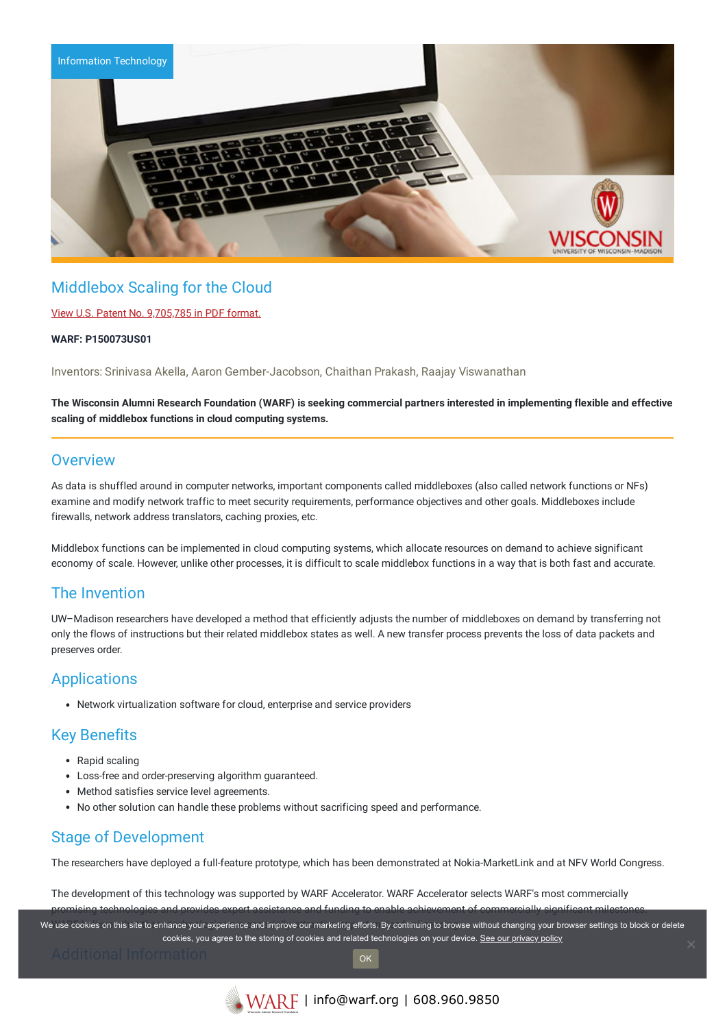

# Middlebox Scaling for the Cloud

## View U.S. Patent No. [9,705,785](https://www.warf.org/wp-content/uploads/technologies/ipstatus/P150073US01.pdf) in PDF format.

### **WARF: P150073US01**

Inventors: Srinivasa Akella, Aaron Gember-Jacobson, Chaithan Prakash, Raajay Viswanathan

## The Wisconsin Alumni Research Foundation (WARF) is seeking commercial partners interested in implementing flexible and effective **scaling of middlebox functions in cloud computing systems.**

# **Overview**

As data is shuffled around in computer networks, important components called middleboxes (also called network functions or NFs) examine and modify network traffic to meet security requirements, performance objectives and other goals. Middleboxes include firewalls, network address translators, caching proxies, etc.

Middlebox functions can be implemented in cloud computing systems, which allocate resources on demand to achieve significant economy of scale. However, unlike other processes, it is difficult to scale middlebox functions in a way that is both fast and accurate.

# The Invention

UW–Madison researchers have developed a method that efficiently adjusts the number of middleboxes on demand by transferring not only the flows of instructions but their related middlebox states as well. A new transfer process prevents the loss of data packets and preserves order.

# **Applications**

Network virtualization software for cloud, enterprise and service providers

# Key Benefits

- Rapid scaling
- Loss-free and order-preserving algorithm guaranteed.
- Method satisfies service level agreements.
- No other solution can handle these problems without sacrificing speed and performance.

# Stage of Development

The researchers have deployed a full-feature prototype, which has been demonstrated at Nokia-MarketLink and at NFV World Congress.

The development of this technology was supported by WARF Accelerator. WARF Accelerator selects WARF's most commercially promising technologies and provides expert assistance and funding to enable achievement of commercially significant milestones.

We use cookies on this site to enhance your experience and improve our marketing efforts. By continuing to browse without changing your browser settings to block or delete cookies, you agree to the storing of cookies and related technologies on your device. [See our privacy policy](https://www.warf.org/privacy-policy/)